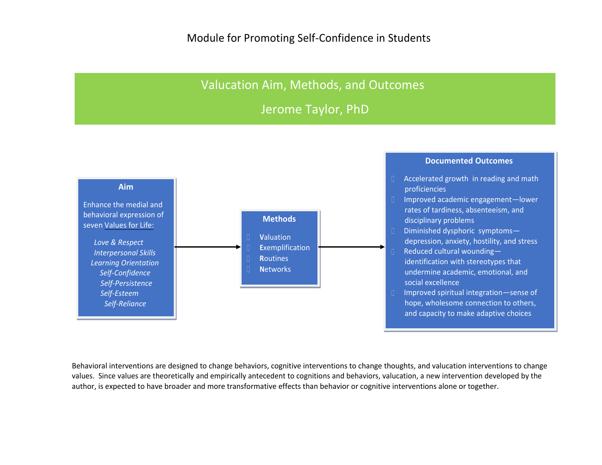## Valucation Aim, Methods, and Outcomes

Jerome Taylor, PhD



Behavioral interventions are designed to change behaviors, cognitive interventions to change thoughts, and valucation interventions to change values. Since values are theoretically and empirically antecedent to cognitions and behaviors, valucation, a new intervention developed by the author, is expected to have broader and more transformative effects than behavior or cognitive interventions alone or together.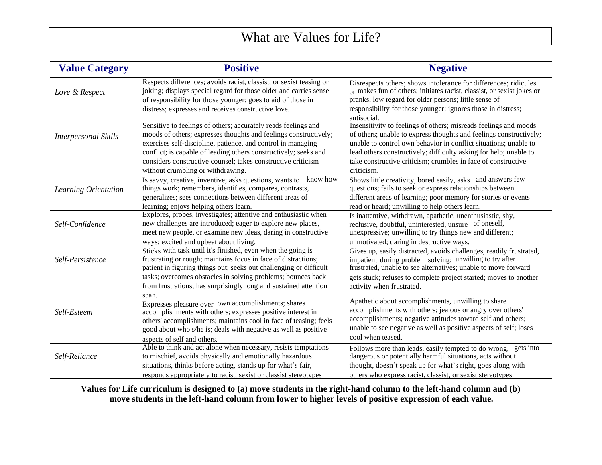## What are Values for Life?

| <b>Value Category</b>       | <b>Positive</b>                                                                                                                                                                                                                                                                                                                                                             | <b>Negative</b>                                                                                                                                                                                                                                                                                                                                                |
|-----------------------------|-----------------------------------------------------------------------------------------------------------------------------------------------------------------------------------------------------------------------------------------------------------------------------------------------------------------------------------------------------------------------------|----------------------------------------------------------------------------------------------------------------------------------------------------------------------------------------------------------------------------------------------------------------------------------------------------------------------------------------------------------------|
| Love & Respect              | Respects differences; avoids racist, classist, or sexist teasing or<br>joking; displays special regard for those older and carries sense<br>of responsibility for those younger; goes to aid of those in<br>distress; expresses and receives constructive love.                                                                                                             | Disrespects others; shows intolerance for differences; ridicules<br>or makes fun of others; initiates racist, classist, or sexist jokes or<br>pranks; low regard for older persons; little sense of<br>responsibility for those younger; ignores those in distress;<br>antisocial.                                                                             |
| <b>Interpersonal Skills</b> | Sensitive to feelings of others; accurately reads feelings and<br>moods of others; expresses thoughts and feelings constructively;<br>exercises self-discipline, patience, and control in managing<br>conflict; is capable of leading others constructively; seeks and<br>considers constructive counsel; takes constructive criticism<br>without crumbling or withdrawing. | Insensitivity to feelings of others; misreads feelings and moods<br>of others; unable to express thoughts and feelings constructively;<br>unable to control own behavior in conflict situations; unable to<br>lead others constructively; difficulty asking for help; unable to<br>take constructive criticism; crumbles in face of constructive<br>criticism. |
| Learning Orientation        | know how<br>Is savvy, creative, inventive; asks questions, wants to<br>things work; remembers, identifies, compares, contrasts,<br>generalizes; sees connections between different areas of<br>learning; enjoys helping others learn.                                                                                                                                       | Shows little creativity, bored easily, asks and answers few<br>questions; fails to seek or express relationships between<br>different areas of learning; poor memory for stories or events<br>read or heard; unwilling to help others learn.                                                                                                                   |
| Self-Confidence             | Explores, probes, investigates; attentive and enthusiastic when<br>new challenges are introduced; eager to explore new places,<br>meet new people, or examine new ideas, daring in constructive<br>ways; excited and upbeat about living.                                                                                                                                   | Is inattentive, withdrawn, apathetic, unenthusiastic, shy,<br>reclusive, doubtful, uninterested, unsure of oneself,<br>unexpressive; unwilling to try things new and different;<br>unmotivated; daring in destructive ways.                                                                                                                                    |
| Self-Persistence            | Sticks with task until it's finished, even when the going is<br>frustrating or rough; maintains focus in face of distractions;<br>patient in figuring things out; seeks out challenging or difficult<br>tasks; overcomes obstacles in solving problems; bounces back<br>from frustrations; has surprisingly long and sustained attention<br>span.                           | Gives up, easily distracted, avoids challenges, readily frustrated,<br>impatient during problem solving; unwilling to try after<br>frustrated, unable to see alternatives; unable to move forward—<br>gets stuck; refuses to complete project started; moves to another<br>activity when frustrated.                                                           |
| Self-Esteem                 | Expresses pleasure over own accomplishments; shares<br>accomplishments with others; expresses positive interest in<br>others' accomplishments; maintains cool in face of teasing; feels<br>good about who s/he is; deals with negative as well as positive<br>aspects of self and others.                                                                                   | Apathetic about accomplishments, unwilling to share<br>accomplishments with others; jealous or angry over others'<br>accomplishments; negative attitudes toward self and others;<br>unable to see negative as well as positive aspects of self; loses<br>cool when teased.                                                                                     |
| Self-Reliance               | Able to think and act alone when necessary, resists temptations<br>to mischief, avoids physically and emotionally hazardous<br>situations, thinks before acting, stands up for what's fair,<br>responds appropriately to racist, sexist or classist stereotypes                                                                                                             | Follows more than leads, easily tempted to do wrong, gets into<br>dangerous or potentially harmful situations, acts without<br>thought, doesn't speak up for what's right, goes along with<br>others who express racist, classist, or sexist stereotypes.                                                                                                      |

Values for Life curriculum is designed to (a) move students in the right-hand column to the left-hand column and (b) **move students in the left-hand column from lower to higher levels of positive expression of each value.**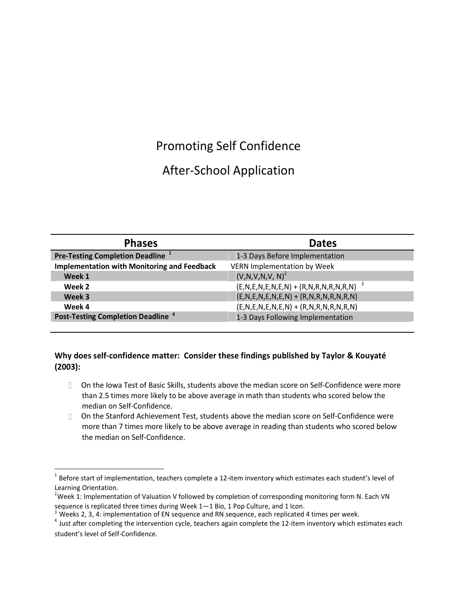## Promoting Self Confidence

## After‐School Application

| <b>Phases</b>                                       | <b>Dates</b>                                          |
|-----------------------------------------------------|-------------------------------------------------------|
| <b>Pre-Testing Completion Deadline</b> <sup>1</sup> | 1-3 Days Before Implementation                        |
| <b>Implementation with Monitoring and Feedback</b>  | <b>VERN Implementation by Week</b>                    |
| Week 1                                              | $(V, N, V, N, V, N)^2$                                |
| Week 2                                              | $(E, N, E, N, E, N, E, N) + (R, N, R, N, R, N, R, N)$ |
| Week 3                                              | $(E, N, E, N, E, N, E, N) + (R, N, R, N, R, N, R, N)$ |
| Week 4                                              | $(E, N, E, N, E, N, E, N) + (R, N, R, N, R, N, R, N)$ |
| Post-Testing Completion Deadline <sup>4</sup>       | 1-3 Days Following Implementation                     |

#### **Why does self‐confidence matter: Consider these findings published by Taylor & Kouyaté (2003):**

- □ On the Iowa Test of Basic Skills, students above the median score on Self-Confidence were more than 2.5 times more likely to be above average in math than students who scored below the median on Self‐Confidence.
- □ On the Stanford Achievement Test, students above the median score on Self-Confidence were more than 7 times more likely to be above average in reading than students who scored below the median on Self‐Confidence.

 $^1$  Before start of implementation, teachers complete a 12-item inventory which estimates each student's level of Learning Orientation.

<sup>&</sup>lt;sup>2</sup>Week 1: Implementation of Valuation V followed by completion of corresponding monitoring form N. Each VN sequence is replicated three times during Week 1—1 Bio, 1 Pop Culture, and 1 Icon.

<sup>&</sup>lt;sup>3</sup> Weeks 2, 3, 4: implementation of EN sequence and RN sequence, each replicated 4 times per week.

<sup>&</sup>lt;sup>4</sup> Just after completing the intervention cycle, teachers again complete the 12-item inventory which estimates each student's level of Self‐Confidence.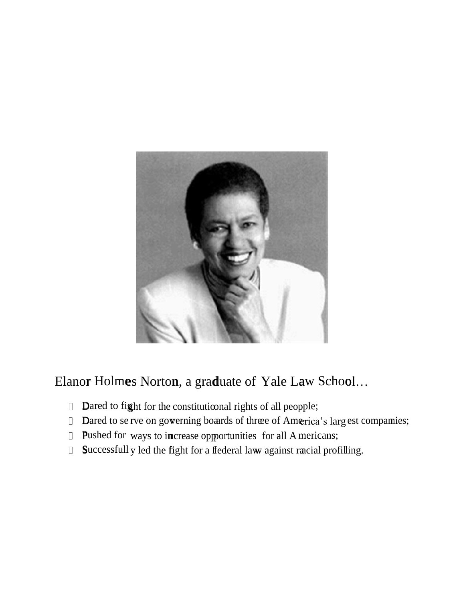

Elanor Holmes Norton, a graduate of Yale Law School...

- Dared to fight for the constitutional rights of all peopple;
- Dared to se rve on gowerning boards of three of America's larg est compamies;
- Pushed for ways to increase opportunities for all Americans;
- Successfull y led the fight for a ffederal law against racial profilling.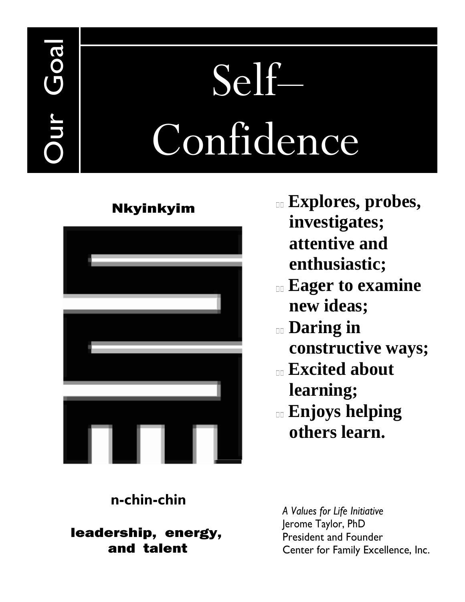# Self– Confidence

## Nkyinkyim

Our Goal



- **Explores, probes, investigates; attentive and enthusiastic;**
- **Eager to examine new ideas;**
- **Daring in constructive ways;**
- **Excited about learning;**
- **Enjoys helping others learn.**

## **n-chin-chin**

leadership, energy, and talent

*A Values for Life Initiative* Jerome Taylor, PhD President and Founder Center for Family Excellence, Inc.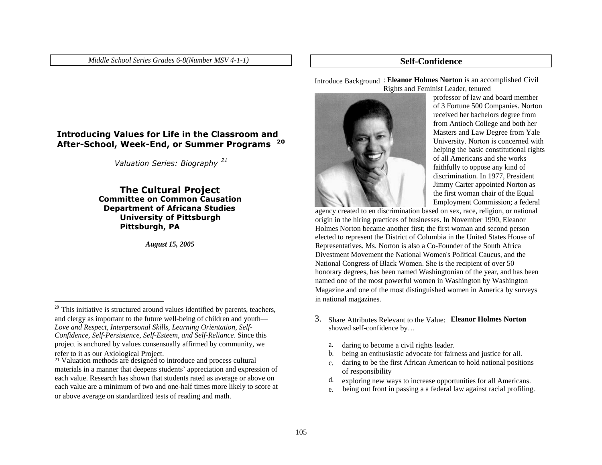*Middle School Series Grades 6-8(Number MSV 4-1-1)* **Self-Confidence**

#### **Introducing Values for Life in the Classroom and After-School, Week-End, or Summer Programs 20**

*Valuation Series: Biography 21*

#### **The Cultural Project Committee on Common Causation Department of Africana Studies University of Pittsburgh Pittsburgh, PA**

*August 15, 2005*

Introduce Background : **Eleanor Holmes Norton** is an accomplished Civil Rights and Feminist Leader, tenured



professor of law and board member of 3 Fortune 500 Companies. Norton received her bachelors degree from from Antioch College and both her Masters and Law Degree from Yale University. Norton is concerned with helping the basic constitutional rights of all Americans and she works faithfully to oppose any kind of discrimination. In 1977, President Jimmy Carter appointed Norton as the first woman chair of the Equal Employment Commission; a federal

agency created to en discrimination based on sex, race, religion, or national origin in the hiring practices of businesses. In November 1990, Eleanor Holmes Norton became another first; the first woman and second person elected to represent the District of Columbia in the United States House of Representatives. Ms. Norton is also a Co-Founder of the South Africa Divestment Movement the National Women's Political Caucus, and the National Congress of Black Women. She is the recipient of over 50 honorary degrees, has been named Washingtonian of the year, and has been named one of the most powerful women in Washington by Washington Magazine and one of the most distinguished women in America by surveys in national magazines.

- Share Attributes Relevant to the Value: 3. **Eleanor Holmes Norton** showed self-confidence by…
	- daring to become a civil rights leader. a.
	- being an enthusiastic advocate for fairness and justice for all. b.
	- daring to be the first African American to hold national positions of responsibility c.
	- exploring new ways to increase opportunities for all Americans. d.
	- e. being out front in passing a a federal law against racial profiling.

 $20$  This initiative is structured around values identified by parents, teachers, and clergy as important to the future well-being of children and youth— *Love and Respect, Interpersonal Skills, Learning Orientation, Self-Confidence, Self-Persistence, Self-Esteem, and Self-Reliance*. Since this project is anchored by values consensually affirmed by community, we

refer to it as our Axiological Project. 21 Valuation methods are designed to introduce and process cultural materials in a manner that deepens students' appreciation and expression of each value. Research has shown that students rated as average or above on each value are a minimum of two and one-half times more likely to score at or above average on standardized tests of reading and math.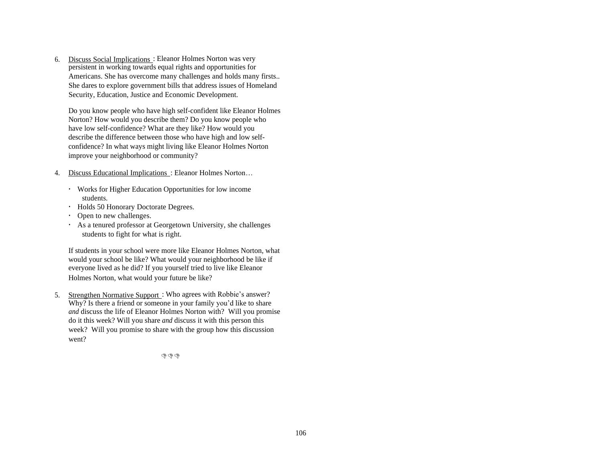6. Discuss Social Implications : Eleanor Holmes Norton was very persistent in working towards equal rights and opportunities for Americans. She has overcome many challenges and holds many firsts.. She dares to explore government bills that address issues of Homeland Security, Education, Justice and Economic Development.

Do you know people who have high self-confident like Eleanor Holmes Norton? How would you describe them? Do you know people who have low self-confidence? What are they like? How would you describe the difference between those who have high and low selfconfidence? In what ways might living like Eleanor Holmes Norton improve your neighborhood or community?

- 4. Discuss Educational Implications: Eleanor Holmes Norton...
	- Works for Higher Education Opportunities for low income students.
	- Holds 50 Honorary Doctorate Degrees.
	- Open to new challenges.
	- As a tenured professor at Georgetown University, she challenges students to fight for what is right.

If students in your school were more like Eleanor Holmes Norton, what would your school be like? What would your neighborhood be like if everyone lived as he did? If you yourself tried to live like Eleanor Holmes Norton, what would your future be like?

5. Strengthen Normative Support: Who agrees with Robbie's answer? Why? Is there a friend or someone in your family you'd like to share *and* discuss the life of Eleanor Holmes Norton with? Will you promise do it this week? Will you share *and* discuss it with this person this week? Will you promise to share with the group how this discussion went?

 $G \circ G$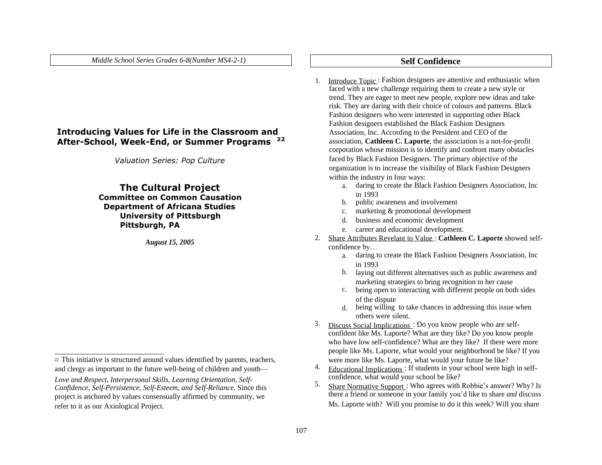*Middle School Series Grades 6-8(Number MS4-2-1)* **Self Confidence**

#### **Introducing Values for Life in the Classroom and After-School, Week-End, or Summer Programs 22**

*Valuation Series: Pop Culture*

#### **The Cultural Project Committee on Common Causation Department of Africana Studies University of Pittsburgh Pittsburgh, PA**

*August* 15, 2005

- 1. Introduce Topic: Fashion designers are attentive and enthusiastic when faced with a new challenge requiring them to create a new style or trend. They are eager to meet new people, explore new ideas and take risk. They are daring with their choice of colours and patterns. Black Fashion designers who were interested in supporting other Black Fashion designers established the Black Fashion Designers Association, Inc. According to the President and CEO of the association, **Cathleen C. Laporte**, the association is a not-for-profit corporation whose mission is to identify and confront many obstacles faced by Black Fashion Designers. The primary objective of the organization is to increase the visibility of Black Fashion Designers within the industry in four ways:
	- daring to create the Black Fashion Designers Association, Inc a. in 1993
	- b. public awareness and involvement
	- c. marketing & promotional development
	- d. business and economic development
	- e. career and educational development.
- Share Attributes Revelant to Value : **Cathleen C. Laporte** showed selfconfidence by…
	- daring to create the Black Fashion Designers Association, Inc a. in 1993
	- b. laying out different alternatives such as public awareness and marketing strategies to bring recognition to her cause
	- c. being open to interacting with different people on both sides of the dispute
	- d. being willing to take chances in addressing this issue when others were silent.
- 3. Discuss Social Implications : Do you know people who are selfconfident like Ms. Laporte? What are they like? Do you know people who have low self-confidence? What are they like? If there were more people like Ms. Laporte, what would your neighborhood be like? If you were more like Ms. Laporte, what would your future be like?
- Educational Implications : If students in your school were high in selfconfidence, what would your school be like?
- 5. Share Normative Support: Who agrees with Robbie's answer? Why? Is there a friend or someone in your family you'd like to share *and* discuss Ms. Laporte with? Will you promise to do it this week? Will you share

<sup>22</sup> This initiative is structured around values identified by parents, teachers, and clergy as important to the future well-being of children and youth—  $4.$ 

*Love and Respect, Interpersonal Skills, Learning Orientation, Self- Confidence, Self-Persistence, Self-Esteem, and Self-Reliance. Since this* project is anchored by values consensually affirmed by community, we refer to it as our Axiological Project.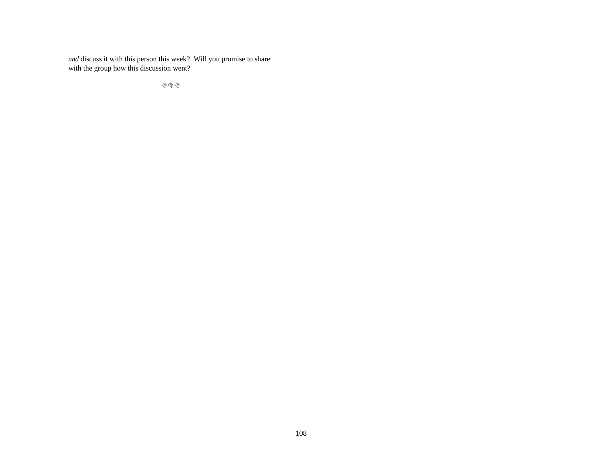*and* discuss it with this person this week? Will you promise to share with the group how this discussion went?

 $\mathcal{L} \mathcal{L} \mathcal{L}$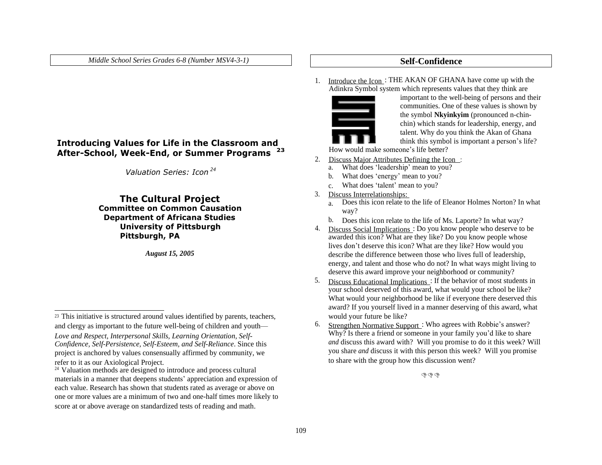*Middle School Series Grades 6-8 (Number MSV4-3-1)* **Self-Confidence**

#### **Introducing Values for Life in the Classroom and After-School, Week-End, or Summer Programs 23**

*Valuation Series: Icon 24*

#### **The Cultural Project Committee on Common Causation Department of Africana Studies University of Pittsburgh Pittsburgh, PA**

*August 15, 2005*

1. Introduce the Icon: THE AKAN OF GHANA have come up with the Adinkra Symbol system which represents values that they think are



important to the well-being of persons and their communities. One of these values is shown by the symbol **Nkyinkyim** (pronounced n-chinchin) which stands for leadership, energy, and talent. Why do you think the Akan of Ghana think this symbol is important a person's life?

How would make someone's life better?

- 2. Discuss Major Attributes Defining the Icon:
	- a. What does 'leadership' mean to you?
	- b. What does 'energy' mean to you?
	- c. What does 'talent' mean to you?
- 3. Discuss Interrelationships:
	- Does this icon relate to the life of Eleanor Holmes Norton? In what way? a.
	- b. Does this icon relate to the life of Ms. Laporte? In what way?
- 4. Discuss Social Implications: Do you know people who deserve to be awarded this icon? What are they like? Do you know people whose lives don't deserve this icon? What are they like? How would you describe the difference between those who lives full of leadership, energy, and talent and those who do not? In what ways might living to deserve this award improve your neighborhood or community?
- 5. Discuss Educational Implications : If the behavior of most students in your school deserved of this award, what would your school be like? What would your neighborhood be like if everyone there deserved this award? If you yourself lived in a manner deserving of this award, what would your future be like?
- Strengthen Normative Support: Who agrees with Robbie's answer? Why? Is there a friend or someone in your family you'd like to share *and* discuss this award with? Will you promise to do it this week? Will you share *and* discuss it with this person this week? Will you promise to share with the group how this discussion went?

 $\mathcal{G} \oplus \mathcal{G}$ 

<sup>23</sup> This initiative is structured around values identified by parents, teachers, and clergy as important to the future well-being of children and youth— 6. *Love and Respect, Interpersonal Skills, Learning Orientation, Self-Confidence, Self-Persistence, Self-Esteem, and Self-Reliance*. Since this project is anchored by values consensually affirmed by community, we refer to it as our Axiological Project.

<sup>&</sup>lt;sup>24</sup> Valuation methods are designed to introduce and process cultural materials in a manner that deepens students' appreciation and expression of each value. Research has shown that students rated as average or above on one or more values are a minimum of two and one-half times more likely to score at or above average on standardized tests of reading and math.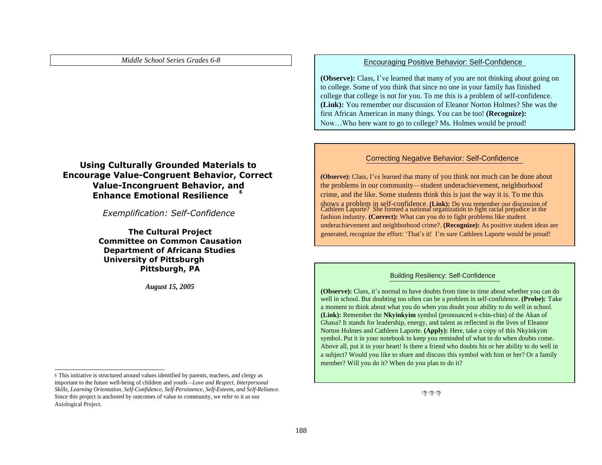#### **Using Culturally Grounded Materials to Encourage Value-Congruent Behavior, Correct Value-Incongruent Behavior, and Enhance Emotional Resilience 6**

*Exemplification: Self-Confidence*

**The Cultural Project Committee on Common Causation Department of Africana Studies University of Pittsburgh Pittsburgh, PA**

#### *Middle School Series Grades 6-8* Encouraging Positive Behavior: Self-Confidence

**(Observe):** Class, I've learned that many of you are not thinking about going on to college. Some of you think that since no one in your family has finished college that college is not for you. To me this is a problem of self-confidence. **(Link):** You remember our discussion of Eleanor Norton Holmes? She was the first African American in many things. You can be too! **(Recognize):** Now…Who here want to go to college? Ms. Holmes would be proud!

#### Correcting Negative Behavior: Self-Confidence

**(Observe):** Class, I've learned that many of you think not much can be done about the problems in our community—student underachievement, neighborhood crime, and the like. Some students think this is just the way it is. To me this shows a problem in self-confidence. **(Link):** Do you remember our discussion of Cathleen Laporte? She formed a national organization to fight racial prejudice in the fashion industry. **(Correct):** What can you do to fight problems like student underachievement and neighborhood crime?. **(Recognize):** As positive student ideas are generated, recognize the effort: 'That's it! I'm sure Cathleen Laporte would be proud!

#### Building Resiliency: Self-Confidence

*August* 15, 2005 *(Observe):* Class, it's normal to have doubts from time to time about whether you can do well in school. But doubting too often can be a problem in self-confidence. **(Probe):** Take a moment to think about what you do when you doubt your ability to do well in school. **(Link):** Remember the **Nkyinkyim** symbol (pronounced n-chin-chin) of the Akan of Ghana? It stands for leadership, energy, and talent as reflected in the lives of Eleanor Norton Holmes and Cathleen Laporte. **(Apply):** Here, take a copy of this Nkyinkyim symbol. Put it in your notebook to keep you reminded of what to do when doubts come. Above all, put it in your heart! Is there a friend who doubts his or her ability to do well in a subject? Would you like to share and discuss this symbol with him or her? Or a family member? Will you do it? When do you plan to do it?

 $\mathbb{R}^n$ 

<sup>6</sup> This initiative is structured around values identified by parents, teachers, and clergy as important to the future well-being of children and youth—*Love and Respect, Interpersonal Skills, Learning Orientation, Self-Confidence, Self-Persistence, Self-Esteem, and Self-Reliance*. Since this project is anchored by outcomes of value to community, we refer to it as our Axiological Project.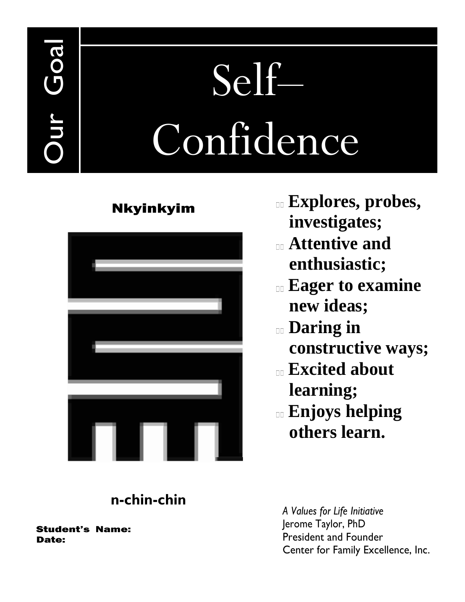# Self– Confidence

## Nkyinkyim



- **Explores, probes, investigates;**
- **Attentive and enthusiastic;**
- **Eager to examine new ideas;**
- **Daring in constructive ways;**
- **Excited about learning;**
- **Enjoys helping others learn.**

## **n-chin-chin**

Student's Name: Date:

Our Goal

*A Values for Life Initiative* Jerome Taylor, PhD President and Founder Center for Family Excellence, Inc.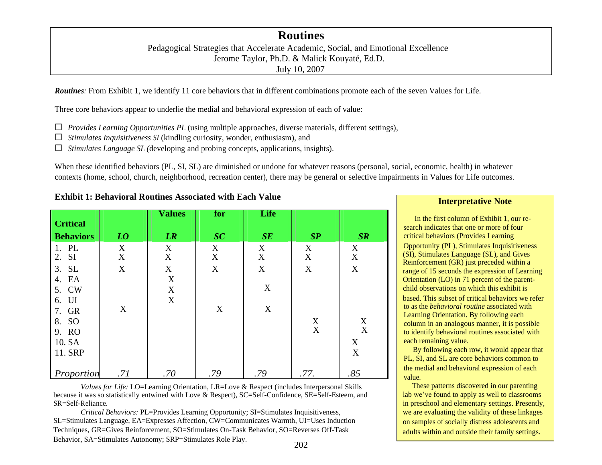### **Routines**

Pedagogical Strategies that Accelerate Academic, Social, and Emotional Excellence Jerome Taylor, Ph.D. & Malick Kouyaté, Ed.D. July 10, 2007

*Routines:* From Exhibit 1, we identify 11 core behaviors that in different combinations promote each of the seven Values for Life.

Three core behaviors appear to underlie the medial and behavioral expression of each of value:

- *Provides Learning Opportunities PL* (using multiple approaches, diverse materials, different settings),
- *Stimulates Inquisitiveness SI* (kindling curiosity, wonder, enthusiasm), and
- *Stimulates Language SL (*developing and probing concepts, applications, insights).

When these identified behaviors (PL, SI, SL) are diminished or undone for whatever reasons (personal, social, economic, health) in whatever contexts (home, school, church, neighborhood, recreation center), there may be general or selective impairments in Values for Life outcomes.

|                  |                           | <b>Values</b>             | for | Life        |      |     |
|------------------|---------------------------|---------------------------|-----|-------------|------|-----|
| <b>Critical</b>  |                           |                           |     |             |      |     |
| <b>Behaviors</b> | LO                        | LR                        | SC  | SE          | SP   | SR  |
| 1. PL            | X                         | X                         | X   | X           | X    | X   |
| 2. SI            | $\boldsymbol{\mathrm{X}}$ | X                         | X   | X           | X    | X   |
| 3. SL            | X                         | X                         | X   | $\mathbf X$ | X    | X   |
| 4. EA            |                           | X                         |     |             |      |     |
| 5. CW            |                           | X                         |     | X           |      |     |
| 6. UI            |                           | $\boldsymbol{\mathrm{X}}$ |     |             |      |     |
| 7. GR            | X                         |                           | X   | X           |      |     |
| 8. SO            |                           |                           |     |             | X    | X   |
| 9. RO            |                           |                           |     |             | X    | X   |
| 10. SA           |                           |                           |     |             |      | X   |
| 11. SRP          |                           |                           |     |             |      | X   |
| Proportion       | .71                       | .70                       | .79 | .79         | .77. | .85 |

**Exhibit 1:** Behavioral Routines Associated with Each Value **Interpretative** Note

*Values for Life:* LO=Learning Orientation, LR=Love & Respect (includes Interpersonal Skills because it was so statistically entwined with Love & Respect), SC=Self-Confidence, SE=Self-Esteem, and SR=Self-Reliance.

*Critical Behaviors:* PL=Provides Learning Opportunity; SI=Stimulates Inquisitiveness, SL=Stimulates Language, EA=Expresses Affection, CW=Communicates Warmth, UI=Uses Induction Techniques, GR=Gives Reinforcement, SO=Stimulates On-Task Behavior, SO=Reverses Off-Task Behavior, SA=Stimulates Autonomy; SRP=Stimulates Role Play.

 In the first column of Exhibit 1, our research indicates that one or more of four critical behaviors (Provides Learning Opportunity (PL), Stimulates Inquisitiveness (SI), Stimulates Language (SL), and Gives Reinforcement (GR) just preceded within a range of 15 seconds the expression of Learning Orientation (LO) in 71 percent of the parentchild observations on which this exhibit is based. This subset of critical behaviors we refer to as the *behavioral routine* associated with Learning Orientation. By following each column in an analogous manner, it is possible to identify behavioral routines associated with each remaining value.

 By following each row, it would appear that PL, SI, and SL are core behaviors common to the medial and behavioral expression of each value.

 These patterns discovered in our parenting lab we've found to apply as well to classrooms in preschool and elementary settings. Presently, we are evaluating the validity of these linkages on samples of socially distress adolescents and adults within and outside their family settings.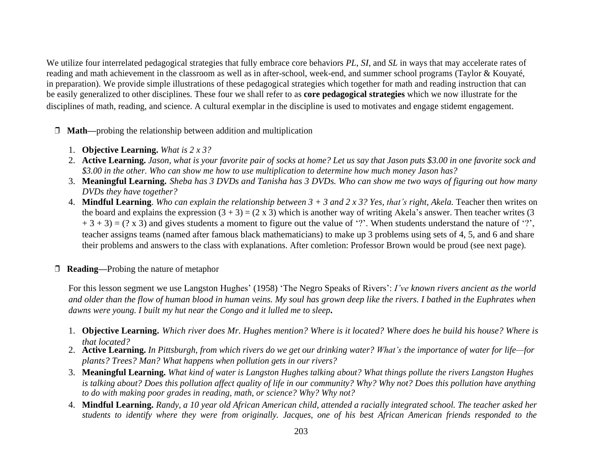We utilize four interrelated pedagogical strategies that fully embrace core behaviors *PL*, *SI*, and *SL* in ways that may accelerate rates of reading and math achievement in the classroom as well as in after-school, week-end, and summer school programs (Taylor & Kouyaté, in preparation). We provide simple illustrations of these pedagogical strategies which together for math and reading instruction that can be easily generalized to other disciplines. These four we shall refer to as **core pedagogical strategies** which we now illustrate for the disciplines of math, reading, and science. A cultural exemplar in the discipline is used to motivates and engage stidemt engagement.

❒ **Math—**probing the relationship between addition and multiplication

- 1. **Objective Learning.** *What is 2 x 3?*
- 2. Active Learning. Jason, what is your favorite pair of socks at home? Let us say that Jason puts \$3.00 in one favorite sock and \$3.00 in the other. Who can show me how to use multiplication to determine how much money Jason has?
- 3. Meaningful Learning. Sheba has 3 DVDs and Tanisha has 3 DVDs. Who can show me two ways of figuring out how many *DVDs they have together?*
- 4. Mindful Learning. Who can explain the relationship between  $3 + 3$  and  $2 \times 3$ ? Yes, that's right, Akela. Teacher then writes on the board and explains the expression  $(3 + 3) = (2 \times 3)$  which is another way of writing Akela's answer. Then teacher writes (3)  $+ 3 + 3 = (? \times 3)$  and gives students a moment to figure out the value of '?'. When students understand the nature of '?', teacher assigns teams (named after famous black mathematicians) to make up 3 problems using sets of 4, 5, and 6 and share their problems and answers to the class with explanations. After comletion: Professor Brown would be proud (see next page).
- ❒ **Reading—**Probing the nature of metaphor

For this lesson segment we use Langston Hughes' (1958) 'The Negro Speaks of Rivers': *I've known rivers ancient as the world* and older than the flow of human blood in human veins. My soul has grown deep like the rivers. I bathed in the Euphrates when *dawns were young. I built my hut near the Congo and it lulled me to sleep***.**

- 1. Objective Learning. Which river does Mr. Hughes mention? Where is it located? Where does he build his house? Where is *that located?*
- 2. Active Learning. In Pittsburgh, from which rivers do we get our drinking water? What's the importance of water for life-for *plants? Trees? Man? What happens when pollution gets in our rivers?*
- 3. Meaningful Learning. What kind of water is Langston Hughes talking about? What things pollute the rivers Langston Hughes is talking about? Does this pollution affect quality of life in our community? Why? Why not? Does this pollution have anything *to do with making poor grades in reading, math, or science? Why? Why not?*
- 4. Mindful Learning, Randy, a 10 year old African American child, attended a racially integrated school. The teacher asked her *students to identify where they were from originally. Jacques, one of his best African American friends responded to the*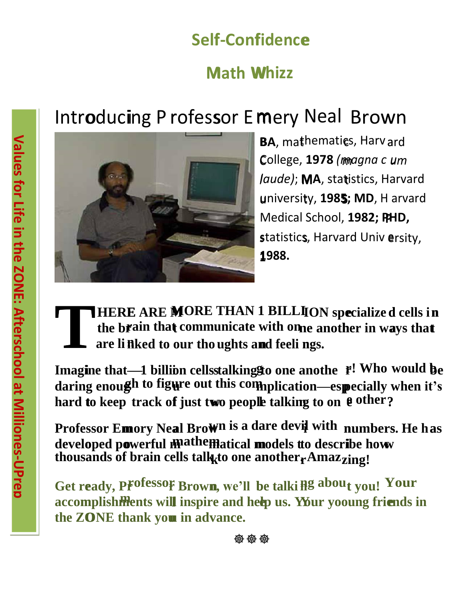# **Self‐Con f fidence f e**

## **Math Whizz**

# Introducing P rofessor E mery Neal Brown



**1 1988.**  statistics, Harvard Univ ersity, u university, **1985; MD**, H arvard t **5** *laude)*; **MA**, statistics, Harvard C College, **1978** *(magna c u m um*  **BA**, mathematics, Harv ard Medical School, **1982; PHD, P** 

#### **T the br rain that communicate with on t ne anoth her in ways that a t HERE T**<br>**li**<br>**l are li**<br>**are li E** ARE MORE THAN 1 BILLION specialize d cells in **n nked to our tho ughts and feeli ngs. n n**

**daring enoug gh to figure out this com mplication—esp u pecially when it's hard to** keep track of just two people talking to on  $\theta$  other? **Imagine that—1 billion cellsstalkinggto one anothe**  $\mathbf{f}$ **! Who would**  $\mathbf{b}$ **e** 

developed powerful **mathematical models** tto describe how Professor Emory Neal Brown is a dare devil with numbers. He has **thousands** of brain cells talk to one another **Amaz** zing!

**Get ready, PFOfessOF Brown, we'll be talki <b>Hg about you! Your the ZO ONE thank you u in advance.** accomplishments will inspire and help us. Your yooung friends in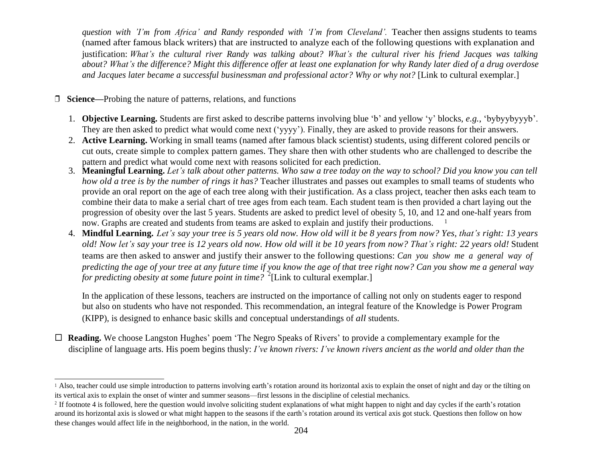*question with 'I'm from Africa' and Randy responded with 'I'm from Cleveland'*. Teacher then assigns students to teams (named after famous black writers) that are instructed to analyze each of the following questions with explanation and justification: *What's the cultural river Randy was talking about? What's the cultural river his friend Jacques was talking*  about? What's the difference? Might this difference offer at least one explanation for why Randy later died of a drug overdose *and Jacques later became a successful businessman and professional actor? Why or why not?* [Link to cultural exemplar.]

❒ **Science—**Probing the nature of patterns, relations, and functions

- 1. **Objective Learning.** Students are first asked to describe patterns involving blue 'b' and yellow 'y' blocks, *e.g.*, 'bybyybyyyb'. They are then asked to predict what would come next ('yyyy'). Finally, they are asked to provide reasons for their answers.
- 2. **Active Learning.** Working in small teams (named after famous black scientist) students, using different colored pencils or cut outs, create simple to complex pattern games. They share then with other students who are challenged to describe the pattern and predict what would come next with reasons solicited for each prediction.
- 3. Meaningful Learning. Let's talk about other patterns. Who saw a tree today on the way to school? Did you know you can tell *how old a tree is by the number of rings it has?* Teacher illustrates and passes out examples to small teams of students who provide an oral report on the age of each tree along with their justification. As a class project, teacher then asks each team to combine their data to make a serial chart of tree ages from each team. Each student team is then provided a chart laying out the progression of obesity over the last 5 years. Students are asked to predict level of obesity 5, 10, and 12 and one-half years from now. Graphs are created and students from teams are asked to explain and justify their productions. 1
- 4. Mindful Learning, Let's say your tree is 5 years old now. How old will it be 8 years from now? Yes, that's right: 13 years old! Now let's say your tree is 12 years old now. How old will it be 10 years from now? That's right: 22 years old! Student teams are then asked to answer and justify their answer to the following questions: *Can you show me a general way of*  predicting the age of your tree at any future time if you know the age of that tree right now? Can you show me a general way *for predicting obesity at some future point in time?* [Link to cultural exemplar.] 2

In the application of these lessons, teachers are instructed on the importance of calling not only on students eager to respond but also on students who have not responded. This recommendation, an integral feature of the Knowledge is Power Program (KIPP), is designed to enhance basic skills and conceptual understandings of *all* students.

 **Reading.** We choose Langston Hughes' poem 'The Negro Speaks of Rivers' to provide a complementary example for the discipline of language arts. His poem begins thusly: I've known rivers: I've known rivers ancient as the world and older than the

<sup>&</sup>lt;sup>1</sup> Also, teacher could use simple introduction to patterns involving earth's rotation around its horizontal axis to explain the onset of night and day or the tilting on its vertical axis to explain the onset of winter and summer seasons—first lessons in the discipline of celestial mechanics.

 $2<sup>2</sup>$  If footnote 4 is followed, here the question would involve soliciting student explanations of what might happen to night and day cycles if the earth's rotation around its horizontal axis is slowed or what might happen to the seasons if the earth's rotation around its vertical axis got stuck. Questions then follow on how these changes would affect life in the neighborhood, in the nation, in the world.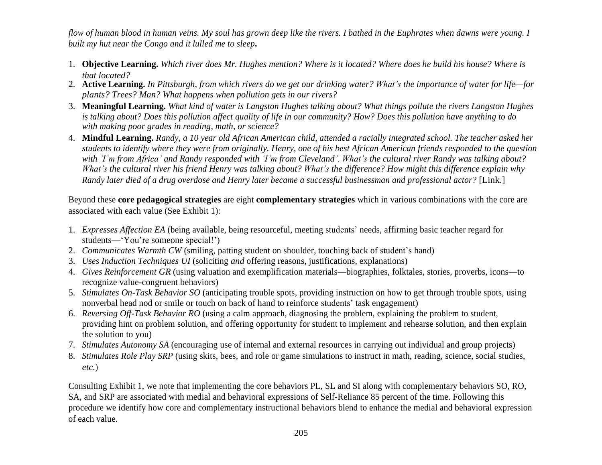flow of human blood in human veins. My soul has grown deep like the rivers. I bathed in the Euphrates when dawns were young. I *built my hut near the Congo and it lulled me to sleep***.**

- 1. Objective Learning. Which river does Mr. Hughes mention? Where is it located? Where does he build his house? Where is *that located?*
- 2. Active Learning. In Pittsburgh, from which rivers do we get our drinking water? What's the importance of water for life-for *plants? Trees? Man? What happens when pollution gets in our rivers?*
- 3. Meaningful Learning. What kind of water is Langston Hughes talking about? What things pollute the rivers Langston Hughes is talking about? Does this pollution affect quality of life in our community? How? Does this pollution have anything to do *with making poor grades in reading, math, or science?*
- 4. Mindful Learning. Randy, a 10 year old African American child, attended a racially integrated school. The teacher asked her students to identify where they were from originally. Henry, one of his best African American friends responded to the question with 'I'm from Africa' and Randy responded with 'I'm from Cleveland'. What's the cultural river Randy was talking about? What's the cultural river his friend Henry was talking about? What's the difference? How might this difference explain why Randy later died of a drug overdose and Henry later became a successful businessman and professional actor? [Link.]

Beyond these **core pedagogical strategies** are eight **complementary strategies** which in various combinations with the core are associated with each value (See Exhibit 1):

- 1. *Expresses Affection EA* (being available, being resourceful, meeting students' needs, affirming basic teacher regard for students—'You're someone special!')
- 2. *Communicates Warmth CW* (smiling, patting student on shoulder, touching back of student's hand)
- 3. *Uses Induction Techniques UI* (soliciting *and* offering reasons, justifications, explanations)
- 4. *Gives Reinforcement GR* (using valuation and exemplification materials—biographies, folktales, stories, proverbs, icons—to recognize value-congruent behaviors)
- 5. *Stimulates On-Task Behavior SO* (anticipating trouble spots, providing instruction on how to get through trouble spots, using nonverbal head nod or smile or touch on back of hand to reinforce students' task engagement)
- 6. *Reversing Off-Task Behavior RO* (using a calm approach, diagnosing the problem, explaining the problem to student, providing hint on problem solution, and offering opportunity for student to implement and rehearse solution, and then explain the solution to you)
- 7. *Stimulates Autonomy SA* (encouraging use of internal and external resources in carrying out individual and group projects)
- 8. *Stimulates Role Play SRP* (using skits, bees, and role or game simulations to instruct in math, reading, science, social studies, *etc.*)

Consulting Exhibit 1, we note that implementing the core behaviors PL, SL and SI along with complementary behaviors SO, RO, SA, and SRP are associated with medial and behavioral expressions of Self-Reliance 85 percent of the time. Following this procedure we identify how core and complementary instructional behaviors blend to enhance the medial and behavioral expression of each value.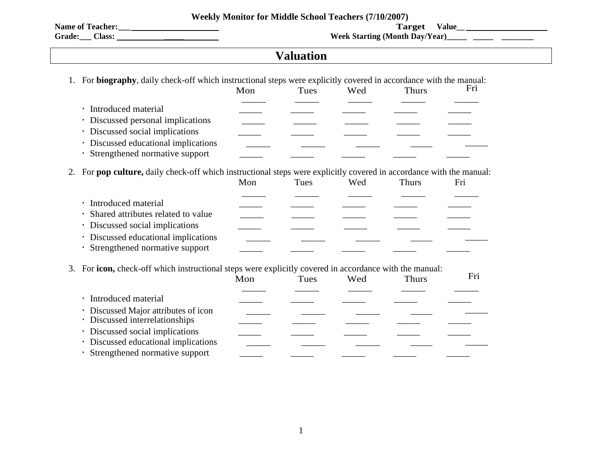|  |  |  |  |  |  |  | <b>Weekly Monitor for Middle School Teachers (7/10/2007)</b> |
|--|--|--|--|--|--|--|--------------------------------------------------------------|
|--|--|--|--|--|--|--|--------------------------------------------------------------|

**Name of Teacher:\_\_\_ Target** 

**Value\_\_ Corresponds the Classic Starting (Month Day/Year)\_\_\_\_\_\_\_\_\_\_\_\_\_\_**\_\_\_\_\_\_\_\_\_\_\_\_\_\_\_

<u> 1980 - Johann Barbara, martxa amerikan personal (h. 1980).</u>

## **Valuation**

|                                                                                                                   | Mon | Tues | Wed | <b>Thurs</b> | Fri |
|-------------------------------------------------------------------------------------------------------------------|-----|------|-----|--------------|-----|
| Introduced material                                                                                               |     |      |     |              |     |
| Discussed personal implications                                                                                   |     |      |     |              |     |
| Discussed social implications                                                                                     |     |      |     |              |     |
| Discussed educational implications                                                                                |     |      |     |              |     |
| Strengthened normative support                                                                                    |     |      |     |              |     |
| For pop culture, daily check-off which instructional steps were explicitly covered in accordance with the manual: |     |      |     |              |     |
|                                                                                                                   | Mon | Tues | Wed | <b>Thurs</b> | Fri |
| Introduced material                                                                                               |     |      |     |              |     |
| Shared attributes related to value                                                                                |     |      |     |              |     |
| Discussed social implications                                                                                     |     |      |     |              |     |
| Discussed educational implications                                                                                |     |      |     |              |     |
| Strengthened normative support                                                                                    |     |      |     |              |     |
| For icon, check-off which instructional steps were explicitly covered in accordance with the manual:<br>3.        |     |      |     |              |     |
|                                                                                                                   | Mon | Tues | Wed | <b>Thurs</b> | Fri |
| · Introduced material                                                                                             |     |      |     |              |     |
| Discussed Major attributes of icon                                                                                |     |      |     |              |     |
| Discussed interrelationships                                                                                      |     |      |     |              |     |
| Discussed social implications                                                                                     |     |      |     |              |     |
| Discussed educational implications                                                                                |     |      |     |              |     |
| Strengthened normative support                                                                                    |     |      |     |              |     |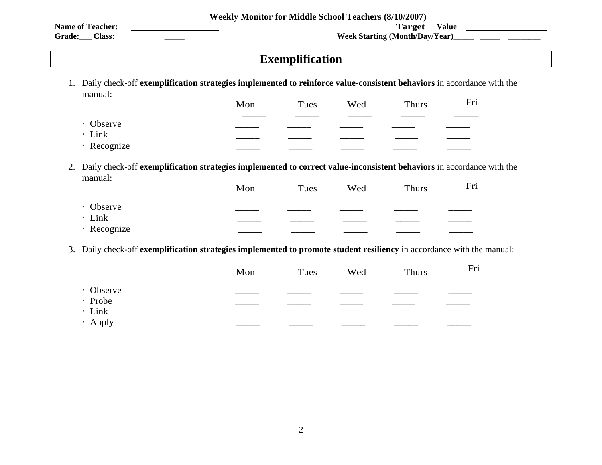**Weekly Monitor for Middle School Teachers (8/10/2007)**

**Name of Teacher:\_\_\_** 

**Target Value\_ Grade:\_\_\_ Class: \_\_\_\_\_ Week Starting (Month/Day/Year)\_\_\_\_\_ \_\_\_\_\_ \_\_\_\_\_\_\_\_**

### **Exemplification**

1. Daily check-off **exemplification strategies implemented to reinforce value-consistent behaviors** in accordance with the manual:

|             | Mon | Tues | Wed | Thurs | Fri |
|-------------|-----|------|-----|-------|-----|
|             |     |      |     |       |     |
| • Observe   |     |      |     |       |     |
| · Link      |     |      |     |       |     |
| · Recognize |     |      |     |       |     |

2. Daily check-off **exemplification strategies implemented to correct value-inconsistent behaviors** in accordance with the manual:

| ----------- | Mon | Tues | Wed | Thurs | Fri |
|-------------|-----|------|-----|-------|-----|
|             |     |      |     |       |     |
| • Observe   |     |      |     |       |     |
| · Link      |     |      |     |       |     |
| · Recognize |     |      |     |       |     |

3. Daily check-off **exemplification strategies implemented to promote student resiliency** in accordance with the manual:

|              | Mon | Tues | Wed | <b>Thurs</b> | Fri |
|--------------|-----|------|-----|--------------|-----|
| • Observe    |     |      |     |              |     |
| · Probe      |     |      |     |              |     |
| $\cdot$ Link |     |      |     |              |     |
| · Apply      |     |      |     |              |     |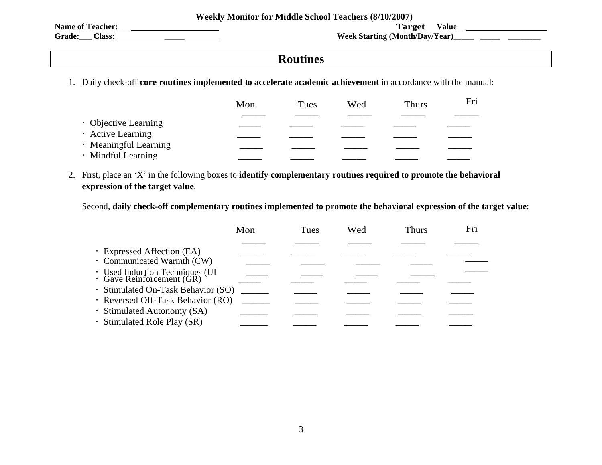|  |  | <b>Weekly Monitor for Middle School Teachers (8/10/2007)</b> |  |
|--|--|--------------------------------------------------------------|--|
|--|--|--------------------------------------------------------------|--|

**Name of Teacher:\_\_\_** 

**Target Value\_ Grade:\_\_\_ Class: \_\_\_\_\_ Week Starting (Month/Day/Year)\_\_\_\_\_ \_\_\_\_\_ \_\_\_\_\_\_\_\_**

## **Routines**

1. Daily check-off **core routines implemented to accelerate academic achievement** in accordance with the manual:

|                       | Mon | Tues | Wed | <b>Thurs</b> | Fri |
|-----------------------|-----|------|-----|--------------|-----|
| • Objective Learning  |     |      |     |              |     |
| · Active Learning     |     |      |     |              |     |
| · Meaningful Learning |     |      |     |              |     |
| · Mindful Learning    |     |      |     |              |     |

2. First, place an 'X' in the following boxes to **identify complementary routines required to promote the behavioral expression of the target value**.

Second, **daily check-off complementary routines implemented to promote the behavioral expression of the target value**:

|                                                              | Mon | Tues | Wed | Thurs | Fri |
|--------------------------------------------------------------|-----|------|-----|-------|-----|
|                                                              |     |      |     |       |     |
| · Expressed Affection (EA)                                   |     |      |     |       |     |
| · Communicated Warmth (CW)                                   |     |      |     |       |     |
| : Used Induction Techniques (UI<br>• Gave Reinforcement (GR) |     |      |     |       |     |
| · Stimulated On-Task Behavior (SO)                           |     |      |     |       |     |
| · Reversed Off-Task Behavior (RO)                            |     |      |     |       |     |
| · Stimulated Autonomy (SA)                                   |     |      |     |       |     |
| · Stimulated Role Play (SR)                                  |     |      |     |       |     |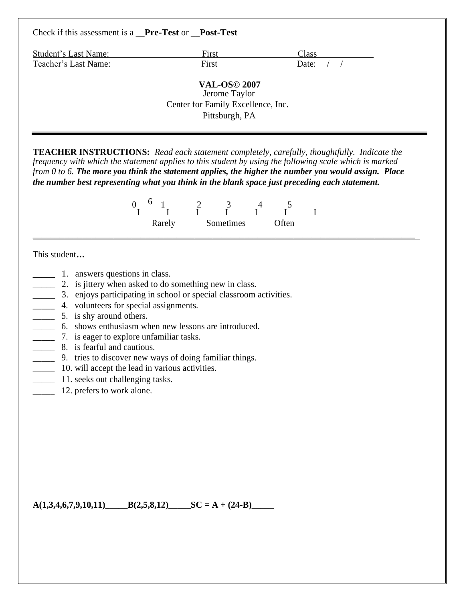#### Check if this assessment is a \_\_**Pre-Test** or \_\_**Post-Test**

| <b>Student's Last Name:</b> | First | Class |
|-----------------------------|-------|-------|
| Teacher's Last Name:        | First | Date: |
|                             |       |       |

**VAL-OS© 2007** Jerome Taylor Center for Family Excellence, Inc. Pittsburgh, PA

**TEACHER INSTRUCTIONS:** *Read each statement completely, carefully, thoughtfully. Indicate the frequency with which the statement applies to this student by using the following scale which is marked*  $from 0 to 6$ . The more you think the statement applies, the higher the number you would assign. Place *the number best representing what you think in the blank space just preceding each statement.*

$$
\begin{array}{cccc}\n0 & 6 & 1 & 2 & 3 & 4 & 5 \\
\hline\nI & -I & -I & -I & -I & -I\n\end{array}
$$
   
\nRarely  
\nSometimes  
\nOften

\_\_\_\_\_\_\_\_\_\_\_\_\_\_\_\_\_\_\_\_\_\_\_\_\_\_\_\_\_\_\_\_\_\_\_\_\_\_\_\_\_\_\_\_\_\_\_\_\_\_\_\_\_\_\_\_\_\_\_\_\_\_\_\_\_\_\_\_\_\_\_\_\_\_\_\_\_\_\_\_\_\_\_\_\_

#### This student**…**

- 1. answers questions in class.
- 2. is jittery when asked to do something new in class.
- \_\_\_\_\_ 3. enjoys participating in school or special classroom activities.
- **1.1.1.** 4. volunteers for special assignments.
- 5. is shy around others.
- \_\_\_\_\_ 6. shows enthusiasm when new lessons are introduced.
- **\_\_\_\_\_** 7. is eager to explore unfamiliar tasks.
- **EXECUTE:** 8. is fearful and cautious.
- \_\_\_\_\_ 9. tries to discover new ways of doing familiar things.
- **10.** will accept the lead in various activities.
- <sup>11</sup>. seeks out challenging tasks.
- 12. prefers to work alone.

 $A(1,3,4,6,7,9,10,11)$   $B(2,5,8,12)$   $SC = A + (24-B)$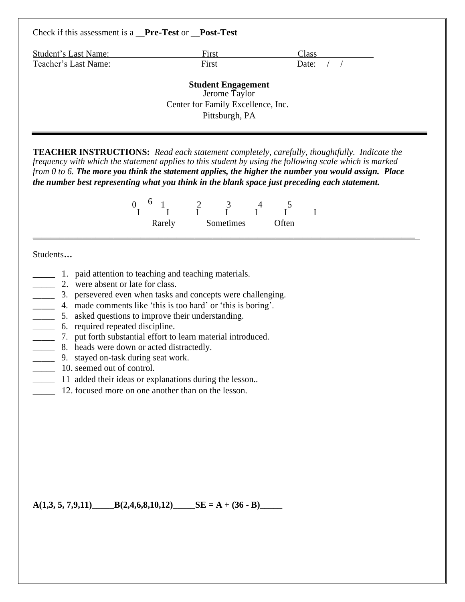| Check if this assessment is a <b>Pre-Test</b> or <b>Post-Test</b> |                                                                                                    |       |
|-------------------------------------------------------------------|----------------------------------------------------------------------------------------------------|-------|
| Student's Last Name:                                              | First                                                                                              | Class |
| Teacher's Last Name:                                              | First                                                                                              | Date: |
|                                                                   | <b>Student Engagement</b><br>Jerome Taylor<br>Center for Family Excellence, Inc.<br>Pittsburgh, PA |       |

**TEACHER INSTRUCTIONS:** *Read each statement completely, carefully, thoughtfully. Indicate the frequency with which the statement applies to this student by using the following scale which is marked* from  $0$  to 6. The more you think the statement applies, the higher the number you would assign. Place *the number best representing what you think in the blank space just preceding each statement.*

|        | <b>~</b>  | $\overline{\phantom{0}}$ |  |
|--------|-----------|--------------------------|--|
| Rarely | Sometimes | <b>Often</b>             |  |

\_\_\_\_\_\_\_\_\_\_\_\_\_\_\_\_\_\_\_\_\_\_\_\_\_\_\_\_\_\_\_\_\_\_\_\_\_\_\_\_\_\_\_\_\_\_\_\_\_\_\_\_\_\_\_\_\_\_\_\_\_\_\_\_\_\_\_\_\_\_\_\_\_\_\_\_\_\_\_\_\_\_\_\_\_

#### Students**…**

- \_\_\_\_\_ 1. paid attention to teaching and teaching materials.
- 2. were absent or late for class.
- \_\_\_\_\_ 3. persevered even when tasks and concepts were challenging.
- \_\_\_\_\_ 4. made comments like 'this is too hard' or 'this is boring'.
- \_\_\_\_\_ 5. asked questions to improve their understanding.
- \_\_\_\_\_ 6. required repeated discipline.
- \_\_\_\_\_ 7. put forth substantial effort to learn material introduced.
- **EXECUTE:** 8. heads were down or acted distractedly.
- \_\_\_\_\_ 9. stayed on-task during seat work.
- 10. seemed out of control.
	- 11 added their ideas or explanations during the lesson...
- 12. focused more on one another than on the lesson.

 $A(1,3, 5, 7,9,11)$   $B(2,4,6,8,10,12)$   $SE = A + (36 - B)$